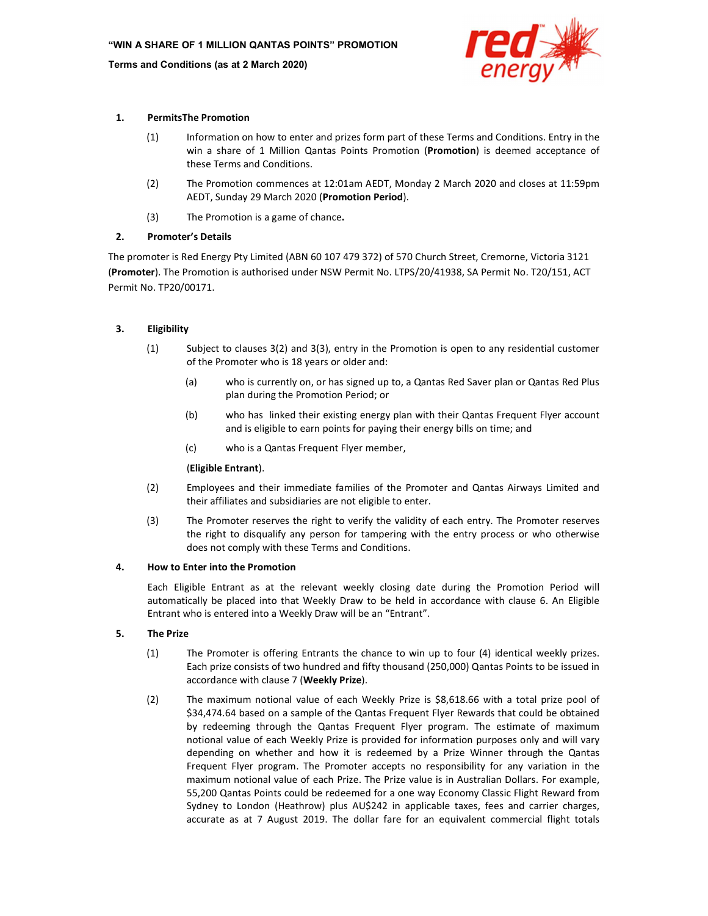

# 1. PermitsThe Promotion

- (1) Information on how to enter and prizes form part of these Terms and Conditions. Entry in the win a share of 1 Million Qantas Points Promotion (Promotion) is deemed acceptance of these Terms and Conditions.
- (2) The Promotion commences at 12:01am AEDT, Monday 2 March 2020 and closes at 11:59pm AEDT, Sunday 29 March 2020 (Promotion Period).
- (3) The Promotion is a game of chance.

# 2. Promoter's Details

The promoter is Red Energy Pty Limited (ABN 60 107 479 372) of 570 Church Street, Cremorne, Victoria 3121 (Promoter). The Promotion is authorised under NSW Permit No. LTPS/20/41938, SA Permit No. T20/151, ACT Permit No. TP20/00171.

# 3. Eligibility

- (1) Subject to clauses 3(2) and 3(3), entry in the Promotion is open to any residential customer of the Promoter who is 18 years or older and:
	- (a) who is currently on, or has signed up to, a Qantas Red Saver plan or Qantas Red Plus plan during the Promotion Period; or
	- (b) who has linked their existing energy plan with their Qantas Frequent Flyer account and is eligible to earn points for paying their energy bills on time; and
	- (c) who is a Qantas Frequent Flyer member,

# (Eligible Entrant).

- (2) Employees and their immediate families of the Promoter and Qantas Airways Limited and their affiliates and subsidiaries are not eligible to enter.
- (3) The Promoter reserves the right to verify the validity of each entry. The Promoter reserves the right to disqualify any person for tampering with the entry process or who otherwise does not comply with these Terms and Conditions.

### 4. How to Enter into the Promotion

Each Eligible Entrant as at the relevant weekly closing date during the Promotion Period will automatically be placed into that Weekly Draw to be held in accordance with clause 6. An Eligible Entrant who is entered into a Weekly Draw will be an "Entrant".

# 5. The Prize

- (1) The Promoter is offering Entrants the chance to win up to four (4) identical weekly prizes. Each prize consists of two hundred and fifty thousand (250,000) Qantas Points to be issued in accordance with clause 7 (Weekly Prize).
- (2) The maximum notional value of each Weekly Prize is \$8,618.66 with a total prize pool of \$34,474.64 based on a sample of the Qantas Frequent Flyer Rewards that could be obtained by redeeming through the Qantas Frequent Flyer program. The estimate of maximum notional value of each Weekly Prize is provided for information purposes only and will vary depending on whether and how it is redeemed by a Prize Winner through the Qantas Frequent Flyer program. The Promoter accepts no responsibility for any variation in the maximum notional value of each Prize. The Prize value is in Australian Dollars. For example, 55,200 Qantas Points could be redeemed for a one way Economy Classic Flight Reward from Sydney to London (Heathrow) plus AU\$242 in applicable taxes, fees and carrier charges, accurate as at 7 August 2019. The dollar fare for an equivalent commercial flight totals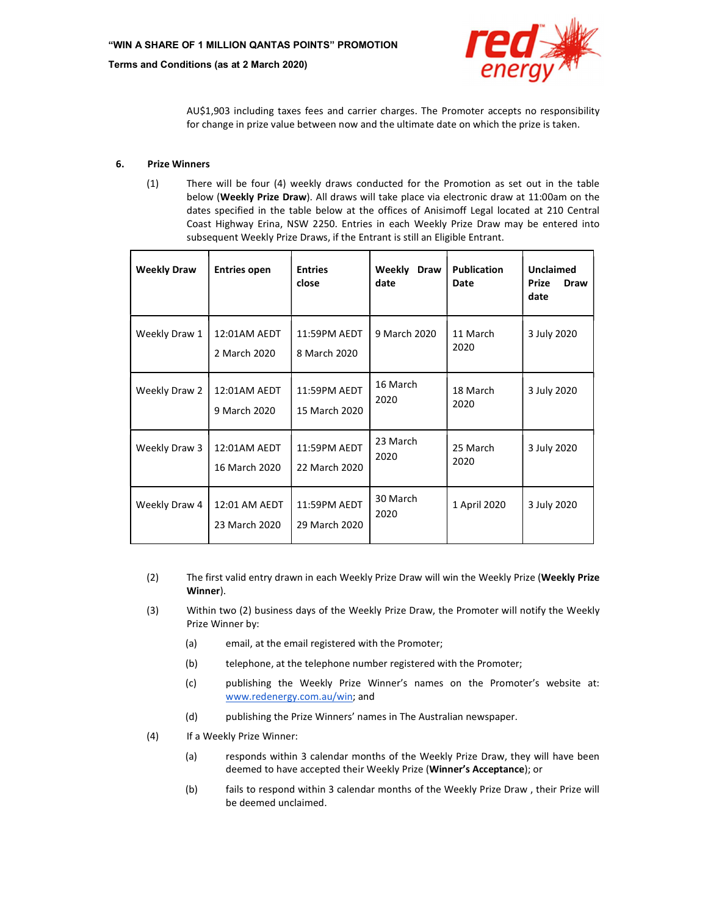

AU\$1,903 including taxes fees and carrier charges. The Promoter accepts no responsibility for change in prize value between now and the ultimate date on which the prize is taken.

# 6. Prize Winners

(1) There will be four (4) weekly draws conducted for the Promotion as set out in the table below (Weekly Prize Draw). All draws will take place via electronic draw at 11:00am on the dates specified in the table below at the offices of Anisimoff Legal located at 210 Central Coast Highway Erina, NSW 2250. Entries in each Weekly Prize Draw may be entered into subsequent Weekly Prize Draws, if the Entrant is still an Eligible Entrant.

| <b>Weekly Draw</b> | <b>Entries open</b>            | <b>Entries</b><br>close       | Weekly Draw<br>date | <b>Publication</b><br>Date | <b>Unclaimed</b><br><b>Prize</b><br><b>Draw</b><br>date |
|--------------------|--------------------------------|-------------------------------|---------------------|----------------------------|---------------------------------------------------------|
| Weekly Draw 1      | 12:01AM AEDT<br>2 March 2020   | 11:59PM AEDT<br>8 March 2020  | 9 March 2020        | 11 March<br>2020           | 3 July 2020                                             |
| Weekly Draw 2      | 12:01AM AEDT<br>9 March 2020   | 11:59PM AEDT<br>15 March 2020 | 16 March<br>2020    | 18 March<br>2020           | 3 July 2020                                             |
| Weekly Draw 3      | 12:01AM AEDT<br>16 March 2020  | 11:59PM AEDT<br>22 March 2020 | 23 March<br>2020    | 25 March<br>2020           | 3 July 2020                                             |
| Weekly Draw 4      | 12:01 AM AEDT<br>23 March 2020 | 11:59PM AEDT<br>29 March 2020 | 30 March<br>2020    | 1 April 2020               | 3 July 2020                                             |

- (2) The first valid entry drawn in each Weekly Prize Draw will win the Weekly Prize (Weekly Prize Winner).
- (3) Within two (2) business days of the Weekly Prize Draw, the Promoter will notify the Weekly Prize Winner by:
	- (a) email, at the email registered with the Promoter;
	- (b) telephone, at the telephone number registered with the Promoter;
	- (c) publishing the Weekly Prize Winner's names on the Promoter's website at: www.redenergy.com.au/win; and
	- (d) publishing the Prize Winners' names in The Australian newspaper.
- (4) If a Weekly Prize Winner:
	- (a) responds within 3 calendar months of the Weekly Prize Draw, they will have been deemed to have accepted their Weekly Prize (Winner's Acceptance); or
	- (b) fails to respond within 3 calendar months of the Weekly Prize Draw , their Prize will be deemed unclaimed.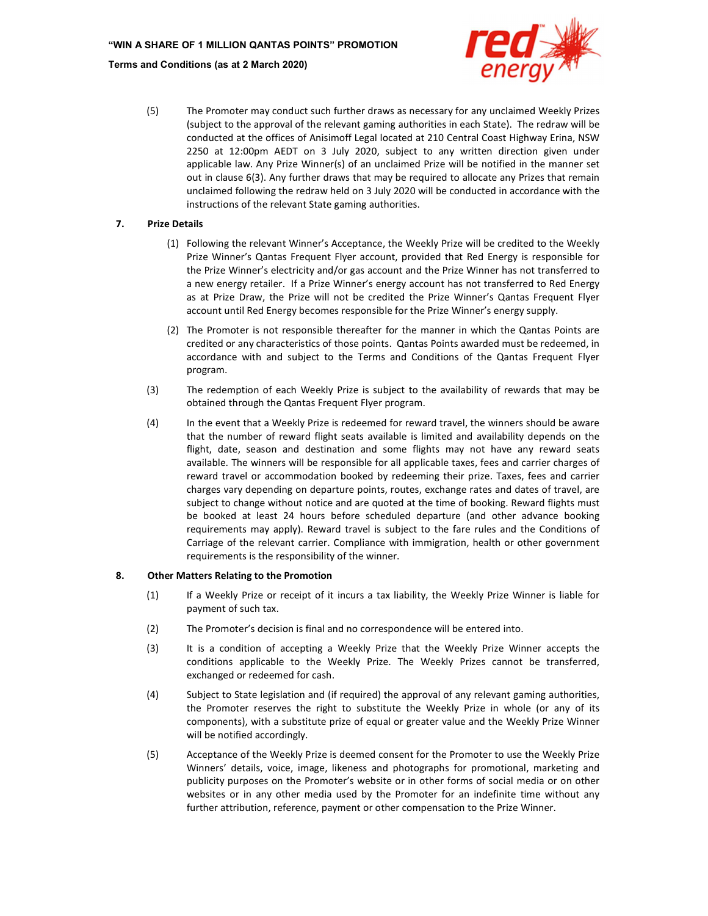

(5) The Promoter may conduct such further draws as necessary for any unclaimed Weekly Prizes (subject to the approval of the relevant gaming authorities in each State). The redraw will be conducted at the offices of Anisimoff Legal located at 210 Central Coast Highway Erina, NSW 2250 at 12:00pm AEDT on 3 July 2020, subject to any written direction given under applicable law. Any Prize Winner(s) of an unclaimed Prize will be notified in the manner set out in clause 6(3). Any further draws that may be required to allocate any Prizes that remain unclaimed following the redraw held on 3 July 2020 will be conducted in accordance with the instructions of the relevant State gaming authorities.

# 7. Prize Details

- (1) Following the relevant Winner's Acceptance, the Weekly Prize will be credited to the Weekly Prize Winner's Qantas Frequent Flyer account, provided that Red Energy is responsible for the Prize Winner's electricity and/or gas account and the Prize Winner has not transferred to a new energy retailer. If a Prize Winner's energy account has not transferred to Red Energy as at Prize Draw, the Prize will not be credited the Prize Winner's Qantas Frequent Flyer account until Red Energy becomes responsible for the Prize Winner's energy supply.
- (2) The Promoter is not responsible thereafter for the manner in which the Qantas Points are credited or any characteristics of those points. Qantas Points awarded must be redeemed, in accordance with and subject to the Terms and Conditions of the Qantas Frequent Flyer program.
- (3) The redemption of each Weekly Prize is subject to the availability of rewards that may be obtained through the Qantas Frequent Flyer program.
- (4) In the event that a Weekly Prize is redeemed for reward travel, the winners should be aware that the number of reward flight seats available is limited and availability depends on the flight, date, season and destination and some flights may not have any reward seats available. The winners will be responsible for all applicable taxes, fees and carrier charges of reward travel or accommodation booked by redeeming their prize. Taxes, fees and carrier charges vary depending on departure points, routes, exchange rates and dates of travel, are subject to change without notice and are quoted at the time of booking. Reward flights must be booked at least 24 hours before scheduled departure (and other advance booking requirements may apply). Reward travel is subject to the fare rules and the Conditions of Carriage of the relevant carrier. Compliance with immigration, health or other government requirements is the responsibility of the winner.

### 8. Other Matters Relating to the Promotion

- (1) If a Weekly Prize or receipt of it incurs a tax liability, the Weekly Prize Winner is liable for payment of such tax.
- (2) The Promoter's decision is final and no correspondence will be entered into.
- (3) It is a condition of accepting a Weekly Prize that the Weekly Prize Winner accepts the conditions applicable to the Weekly Prize. The Weekly Prizes cannot be transferred, exchanged or redeemed for cash.
- (4) Subject to State legislation and (if required) the approval of any relevant gaming authorities, the Promoter reserves the right to substitute the Weekly Prize in whole (or any of its components), with a substitute prize of equal or greater value and the Weekly Prize Winner will be notified accordingly.
- (5) Acceptance of the Weekly Prize is deemed consent for the Promoter to use the Weekly Prize Winners' details, voice, image, likeness and photographs for promotional, marketing and publicity purposes on the Promoter's website or in other forms of social media or on other websites or in any other media used by the Promoter for an indefinite time without any further attribution, reference, payment or other compensation to the Prize Winner.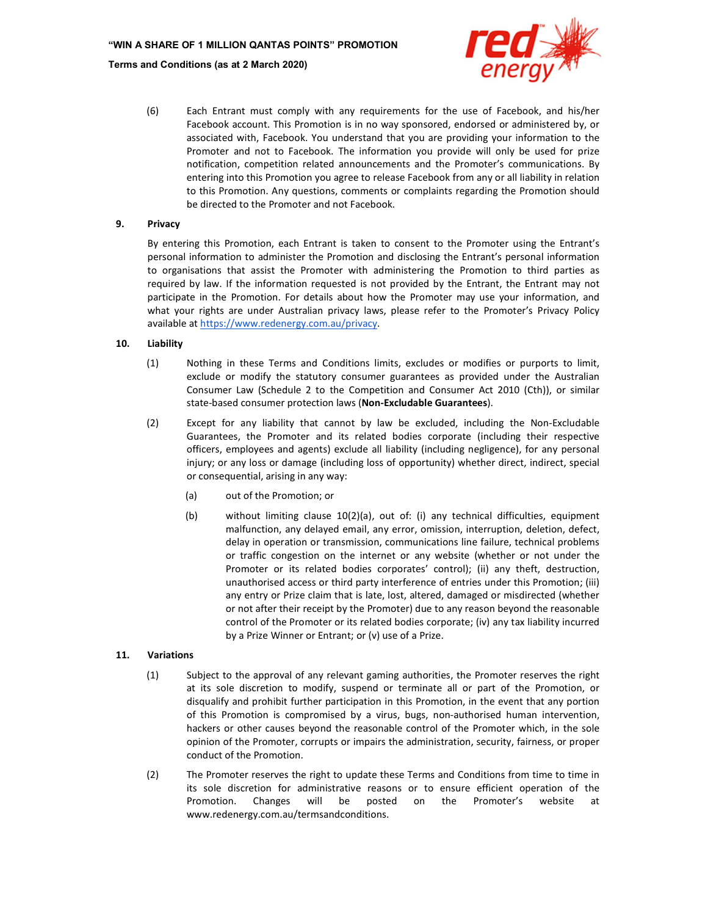

(6) Each Entrant must comply with any requirements for the use of Facebook, and his/her Facebook account. This Promotion is in no way sponsored, endorsed or administered by, or associated with, Facebook. You understand that you are providing your information to the Promoter and not to Facebook. The information you provide will only be used for prize notification, competition related announcements and the Promoter's communications. By entering into this Promotion you agree to release Facebook from any or all liability in relation to this Promotion. Any questions, comments or complaints regarding the Promotion should be directed to the Promoter and not Facebook.

#### 9. Privacy

By entering this Promotion, each Entrant is taken to consent to the Promoter using the Entrant's personal information to administer the Promotion and disclosing the Entrant's personal information to organisations that assist the Promoter with administering the Promotion to third parties as required by law. If the information requested is not provided by the Entrant, the Entrant may not participate in the Promotion. For details about how the Promoter may use your information, and what your rights are under Australian privacy laws, please refer to the Promoter's Privacy Policy available at https://www.redenergy.com.au/privacy.

#### 10. Liability

- (1) Nothing in these Terms and Conditions limits, excludes or modifies or purports to limit, exclude or modify the statutory consumer guarantees as provided under the Australian Consumer Law (Schedule 2 to the Competition and Consumer Act 2010 (Cth)), or similar state-based consumer protection laws (Non-Excludable Guarantees).
- (2) Except for any liability that cannot by law be excluded, including the Non-Excludable Guarantees, the Promoter and its related bodies corporate (including their respective officers, employees and agents) exclude all liability (including negligence), for any personal injury; or any loss or damage (including loss of opportunity) whether direct, indirect, special or consequential, arising in any way:
	- (a) out of the Promotion; or
	- (b) without limiting clause 10(2)(a), out of: (i) any technical difficulties, equipment malfunction, any delayed email, any error, omission, interruption, deletion, defect, delay in operation or transmission, communications line failure, technical problems or traffic congestion on the internet or any website (whether or not under the Promoter or its related bodies corporates' control); (ii) any theft, destruction, unauthorised access or third party interference of entries under this Promotion; (iii) any entry or Prize claim that is late, lost, altered, damaged or misdirected (whether or not after their receipt by the Promoter) due to any reason beyond the reasonable control of the Promoter or its related bodies corporate; (iv) any tax liability incurred by a Prize Winner or Entrant; or (v) use of a Prize.

#### 11. Variations

- (1) Subject to the approval of any relevant gaming authorities, the Promoter reserves the right at its sole discretion to modify, suspend or terminate all or part of the Promotion, or disqualify and prohibit further participation in this Promotion, in the event that any portion of this Promotion is compromised by a virus, bugs, non-authorised human intervention, hackers or other causes beyond the reasonable control of the Promoter which, in the sole opinion of the Promoter, corrupts or impairs the administration, security, fairness, or proper conduct of the Promotion.
- (2) The Promoter reserves the right to update these Terms and Conditions from time to time in its sole discretion for administrative reasons or to ensure efficient operation of the Promotion. Changes will be posted on the Promoter's website at www.redenergy.com.au/termsandconditions.